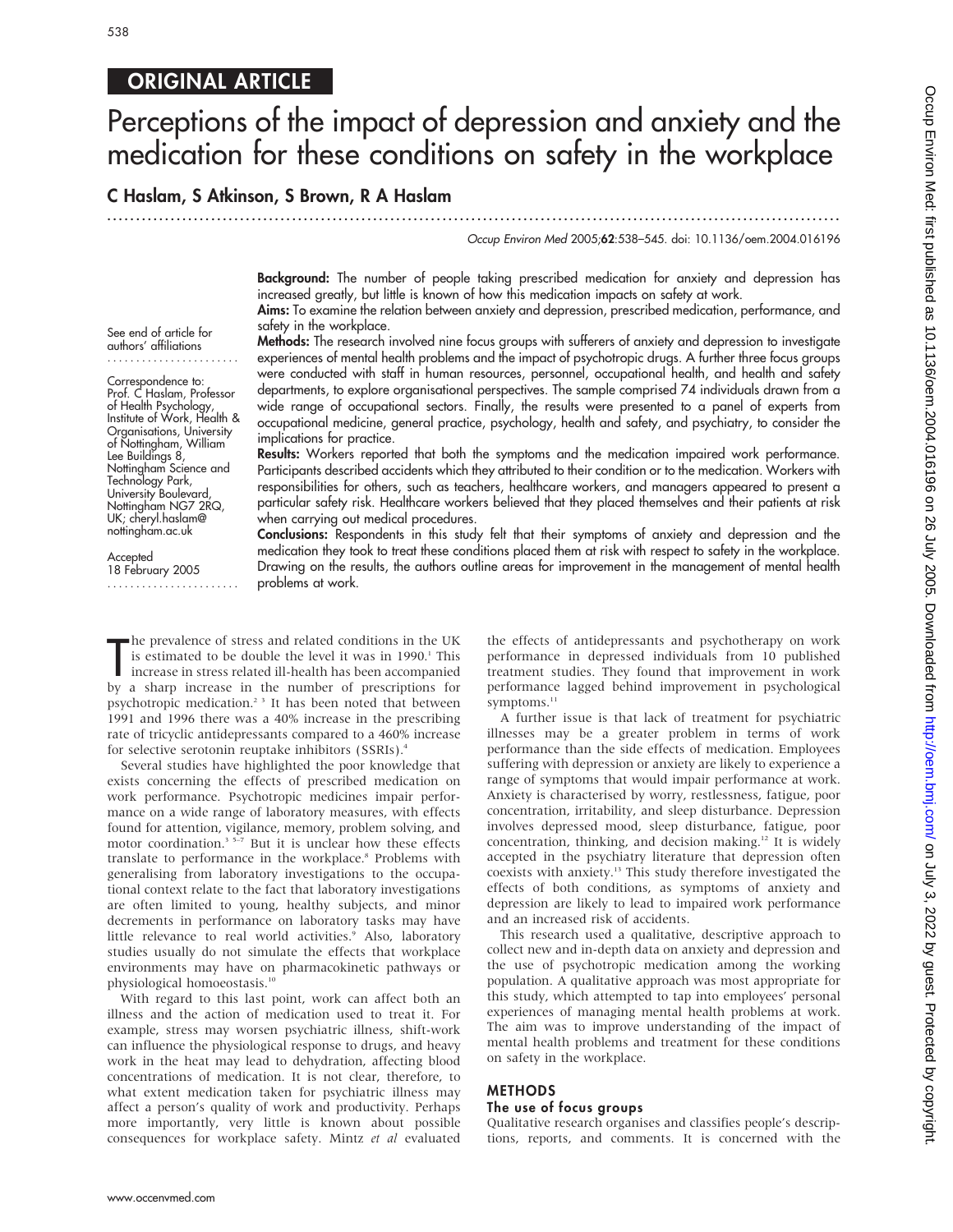# ORIGINAL ARTICLE

# Perceptions of the impact of depression and anxiety and the medication for these conditions on safety in the workplace

# C Haslam, S Atkinson, S Brown, R A Haslam

...............................................................................................................................

Occup Environ Med 2005;62:538–545. doi: 10.1136/oem.2004.016196

Background: The number of people taking prescribed medication for anxiety and depression has increased greatly, but little is known of how this medication impacts on safety at work.

Aims: To examine the relation between anxiety and depression, prescribed medication, performance, and safety in the workplace.

See end of article for authors' affiliations .......................

Correspondence to: Prof. C Haslam, Professor of Health Psychology, Institute of Work, Health & Organisations, University of Nottingham, William Lee Buildings 8, Nottingham Science and Technology Park, University Boulevard, Nottingham NG7 2RQ, UK; cheryl.haslam@ nottingham.ac.uk

Accepted

18 February 2005 ....................... Methods: The research involved nine focus groups with sufferers of anxiety and depression to investigate experiences of mental health problems and the impact of psychotropic drugs. A further three focus groups were conducted with staff in human resources, personnel, occupational health, and health and safety departments, to explore organisational perspectives. The sample comprised 74 individuals drawn from a wide range of occupational sectors. Finally, the results were presented to a panel of experts from occupational medicine, general practice, psychology, health and safety, and psychiatry, to consider the implications for practice.

Results: Workers reported that both the symptoms and the medication impaired work performance. Participants described accidents which they attributed to their condition or to the medication. Workers with responsibilities for others, such as teachers, healthcare workers, and managers appeared to present a particular safety risk. Healthcare workers believed that they placed themselves and their patients at risk when carrying out medical procedures.

Conclusions: Respondents in this study felt that their symptoms of anxiety and depression and the medication they took to treat these conditions placed them at risk with respect to safety in the workplace. Drawing on the results, the authors outline areas for improvement in the management of mental health problems at work.

The prevalence of stress and related conditions in the UK is estimated to be double the level it was in 1990.<sup>1</sup> This increase in stress related ill-health has been accompanied by a sharp increase in the number of prescrip he prevalence of stress and related conditions in the UK is estimated to be double the level it was in 1990.<sup>1</sup> This increase in stress related ill-health has been accompanied psychotropic medication.2 3 It has been noted that between 1991 and 1996 there was a 40% increase in the prescribing rate of tricyclic antidepressants compared to a 460% increase for selective serotonin reuptake inhibitors (SSRIs).4

Several studies have highlighted the poor knowledge that exists concerning the effects of prescribed medication on work performance. Psychotropic medicines impair performance on a wide range of laboratory measures, with effects found for attention, vigilance, memory, problem solving, and motor coordination.<sup>3 5–7</sup> But it is unclear how these effects translate to performance in the workplace.<sup>8</sup> Problems with generalising from laboratory investigations to the occupational context relate to the fact that laboratory investigations are often limited to young, healthy subjects, and minor decrements in performance on laboratory tasks may have little relevance to real world activities.<sup>9</sup> Also, laboratory studies usually do not simulate the effects that workplace environments may have on pharmacokinetic pathways or physiological homoeostasis.10

With regard to this last point, work can affect both an illness and the action of medication used to treat it. For example, stress may worsen psychiatric illness, shift-work can influence the physiological response to drugs, and heavy work in the heat may lead to dehydration, affecting blood concentrations of medication. It is not clear, therefore, to what extent medication taken for psychiatric illness may affect a person's quality of work and productivity. Perhaps more importantly, very little is known about possible consequences for workplace safety. Mintz et al evaluated

the effects of antidepressants and psychotherapy on work performance in depressed individuals from 10 published treatment studies. They found that improvement in work performance lagged behind improvement in psychological symptoms.<sup>11</sup>

A further issue is that lack of treatment for psychiatric illnesses may be a greater problem in terms of work performance than the side effects of medication. Employees suffering with depression or anxiety are likely to experience a range of symptoms that would impair performance at work. Anxiety is characterised by worry, restlessness, fatigue, poor concentration, irritability, and sleep disturbance. Depression involves depressed mood, sleep disturbance, fatigue, poor concentration, thinking, and decision making.12 It is widely accepted in the psychiatry literature that depression often coexists with anxiety.13 This study therefore investigated the effects of both conditions, as symptoms of anxiety and depression are likely to lead to impaired work performance and an increased risk of accidents.

This research used a qualitative, descriptive approach to collect new and in-depth data on anxiety and depression and the use of psychotropic medication among the working population. A qualitative approach was most appropriate for this study, which attempted to tap into employees' personal experiences of managing mental health problems at work. The aim was to improve understanding of the impact of mental health problems and treatment for these conditions on safety in the workplace.

#### METHODS The use of focus groups

Qualitative research organises and classifies people's descriptions, reports, and comments. It is concerned with the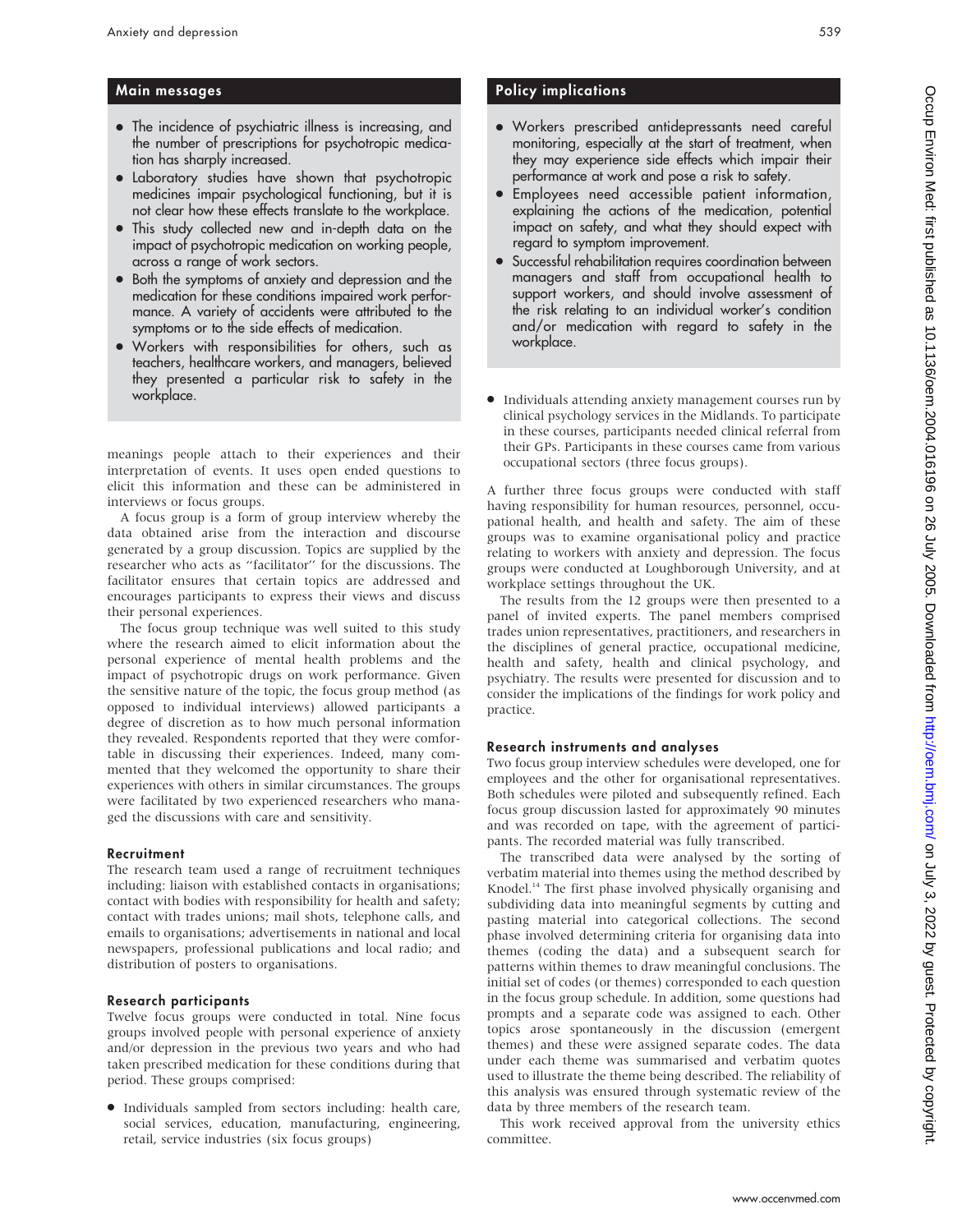# Main messages

- The incidence of psychiatric illness is increasing, and the number of prescriptions for psychotropic medication has sharply increased.
- N Laboratory studies have shown that psychotropic medicines impair psychological functioning, but it is not clear how these effects translate to the workplace.
- This study collected new and in-depth data on the impact of psychotropic medication on working people, across a range of work sectors.
- Both the symptoms of anxiety and depression and the medication for these conditions impaired work performance. A variety of accidents were attributed to the symptoms or to the side effects of medication.
- . Workers with responsibilities for others, such as teachers, healthcare workers, and managers, believed they presented a particular risk to safety in the workplace.

meanings people attach to their experiences and their interpretation of events. It uses open ended questions to elicit this information and these can be administered in interviews or focus groups.

A focus group is a form of group interview whereby the data obtained arise from the interaction and discourse generated by a group discussion. Topics are supplied by the researcher who acts as ''facilitator'' for the discussions. The facilitator ensures that certain topics are addressed and encourages participants to express their views and discuss their personal experiences.

The focus group technique was well suited to this study where the research aimed to elicit information about the personal experience of mental health problems and the impact of psychotropic drugs on work performance. Given the sensitive nature of the topic, the focus group method (as opposed to individual interviews) allowed participants a degree of discretion as to how much personal information they revealed. Respondents reported that they were comfortable in discussing their experiences. Indeed, many commented that they welcomed the opportunity to share their experiences with others in similar circumstances. The groups were facilitated by two experienced researchers who managed the discussions with care and sensitivity.

# **Recruitment**

The research team used a range of recruitment techniques including: liaison with established contacts in organisations; contact with bodies with responsibility for health and safety; contact with trades unions; mail shots, telephone calls, and emails to organisations; advertisements in national and local newspapers, professional publications and local radio; and distribution of posters to organisations.

# Research participants

Twelve focus groups were conducted in total. Nine focus groups involved people with personal experience of anxiety and/or depression in the previous two years and who had taken prescribed medication for these conditions during that period. These groups comprised:

• Individuals sampled from sectors including: health care, social services, education, manufacturing, engineering, retail, service industries (six focus groups)

# Policy implications

- N Workers prescribed antidepressants need careful monitoring, especially at the start of treatment, when they may experience side effects which impair their performance at work and pose a risk to safety.
- **•** Employees need accessible patient information, explaining the actions of the medication, potential impact on safety, and what they should expect with regard to symptom improvement.
- **•** Successful rehabilitation requires coordination between managers and staff from occupational health to support workers, and should involve assessment of the risk relating to an individual worker's condition and/or medication with regard to safety in the workplace.
- N Individuals attending anxiety management courses run by clinical psychology services in the Midlands. To participate in these courses, participants needed clinical referral from their GPs. Participants in these courses came from various occupational sectors (three focus groups).

A further three focus groups were conducted with staff having responsibility for human resources, personnel, occupational health, and health and safety. The aim of these groups was to examine organisational policy and practice relating to workers with anxiety and depression. The focus groups were conducted at Loughborough University, and at workplace settings throughout the UK.

The results from the 12 groups were then presented to a panel of invited experts. The panel members comprised trades union representatives, practitioners, and researchers in the disciplines of general practice, occupational medicine, health and safety, health and clinical psychology, and psychiatry. The results were presented for discussion and to consider the implications of the findings for work policy and practice.

# Research instruments and analyses

Two focus group interview schedules were developed, one for employees and the other for organisational representatives. Both schedules were piloted and subsequently refined. Each focus group discussion lasted for approximately 90 minutes and was recorded on tape, with the agreement of participants. The recorded material was fully transcribed.

The transcribed data were analysed by the sorting of verbatim material into themes using the method described by Knodel.<sup>14</sup> The first phase involved physically organising and subdividing data into meaningful segments by cutting and pasting material into categorical collections. The second phase involved determining criteria for organising data into themes (coding the data) and a subsequent search for patterns within themes to draw meaningful conclusions. The initial set of codes (or themes) corresponded to each question in the focus group schedule. In addition, some questions had prompts and a separate code was assigned to each. Other topics arose spontaneously in the discussion (emergent themes) and these were assigned separate codes. The data under each theme was summarised and verbatim quotes used to illustrate the theme being described. The reliability of this analysis was ensured through systematic review of the data by three members of the research team.

This work received approval from the university ethics committee.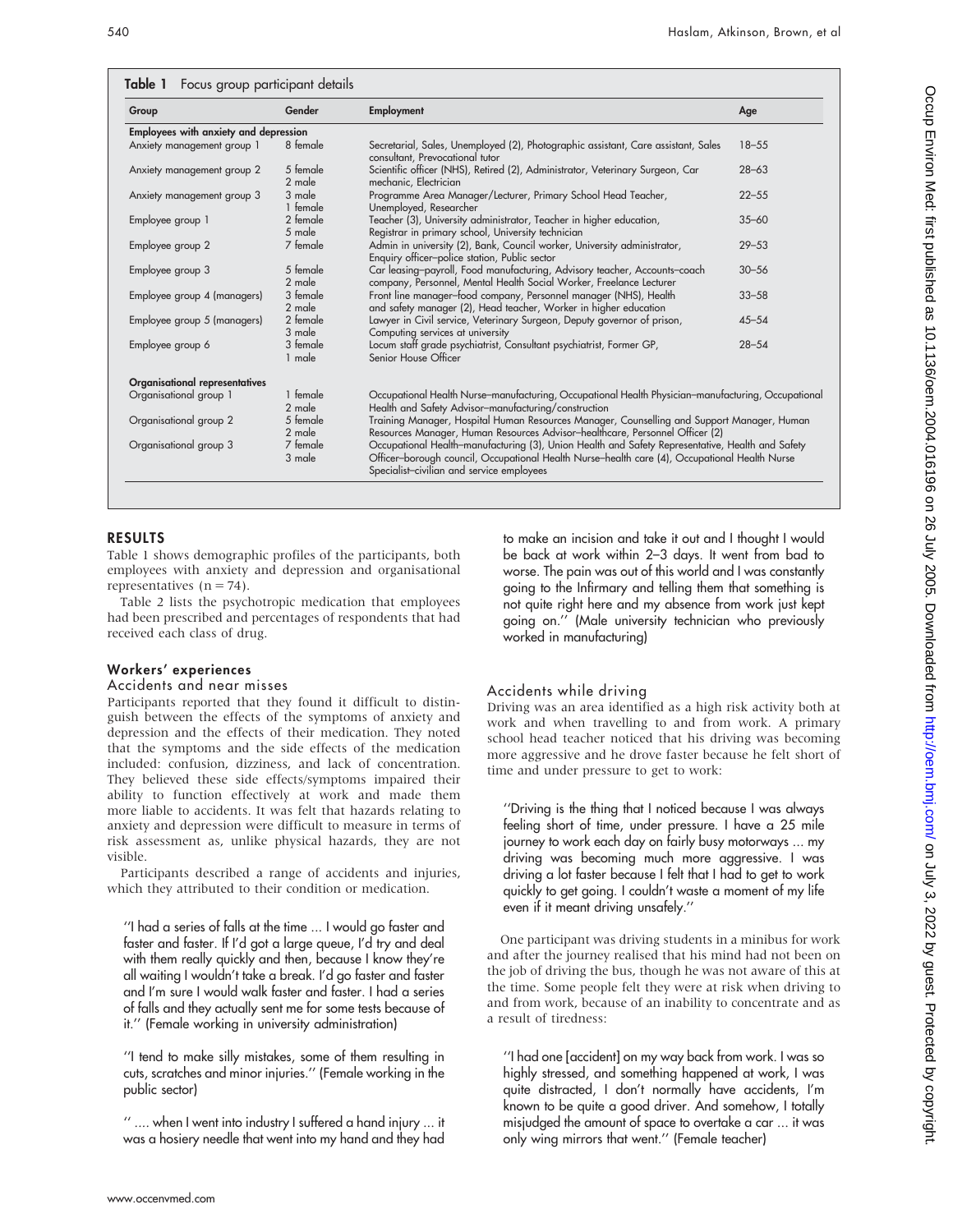| Group                                 | Gender             | <b>Employment</b>                                                                                                                                                                                                                              | Age       |
|---------------------------------------|--------------------|------------------------------------------------------------------------------------------------------------------------------------------------------------------------------------------------------------------------------------------------|-----------|
| Employees with anxiety and depression |                    |                                                                                                                                                                                                                                                |           |
| Anxiety management group 1            | 8 female           | Secretarial, Sales, Unemployed (2), Photographic assistant, Care assistant, Sales<br>consultant. Prevocational tutor                                                                                                                           | $18 - 55$ |
| Anxiety management group 2            | 5 female<br>2 male | Scientific officer (NHS), Retired (2), Administrator, Veterinary Surgeon, Car<br>mechanic, Electrician                                                                                                                                         | $28 - 63$ |
| Anxiety management group 3            | 3 male<br>1 female | Programme Area Manager/Lecturer, Primary School Head Teacher,<br>Unemployed, Researcher                                                                                                                                                        | $22 - 55$ |
| Employee group 1                      | 2 female<br>5 male | Teacher (3), University administrator, Teacher in higher education,<br>Registrar in primary school, University technician                                                                                                                      | $35 - 60$ |
| Employee group 2                      | 7 female           | Admin in university (2), Bank, Council worker, University administrator,<br>Enquiry officer-police station, Public sector                                                                                                                      | $29 - 53$ |
| Employee group 3                      | 5 female<br>2 male | Car leasing-payroll, Food manufacturing, Advisory teacher, Accounts-coach<br>company, Personnel, Mental Health Social Worker, Freelance Lecturer                                                                                               | $30 - 56$ |
| Employee group 4 (managers)           | 3 female<br>2 male | Front line manager-food company, Personnel manager (NHS), Health<br>and safety manager (2), Head teacher, Worker in higher education                                                                                                           | $33 - 58$ |
| Employee group 5 (managers)           | 2 female<br>3 male | Lawyer in Civil service, Veterinary Surgeon, Deputy governor of prison,<br>Computing services at university                                                                                                                                    | $45 - 54$ |
| Employee group 6                      | 3 female<br>1 male | Locum staff grade psychiatrist, Consultant psychiatrist, Former GP,<br>Senior House Officer                                                                                                                                                    | $28 - 54$ |
| Organisational representatives        |                    |                                                                                                                                                                                                                                                |           |
| Organisational group 1                | 1 female<br>2 male | Occupational Health Nurse-manufacturing, Occupational Health Physician-manufacturing, Occupational<br>Health and Safety Advisor-manufacturing/construction                                                                                     |           |
| Organisational group 2                | 5 female<br>2 male | Training Manager, Hospital Human Resources Manager, Counselling and Support Manager, Human<br>Resources Manager, Human Resources Advisor-healthcare, Personnel Officer (2)                                                                     |           |
| Organisational group 3                | 7 female<br>3 male | Occupational Health-manufacturing (3), Union Health and Safety Representative, Health and Safety<br>Officer-borough council, Occupational Health Nurse-health care (4), Occupational Health Nurse<br>Specialist-civilian and service employees |           |

#### RESULTS

Table 1 shows demographic profiles of the participants, both employees with anxiety and depression and organisational representatives  $(n = 74)$ .

Table 2 lists the psychotropic medication that employees had been prescribed and percentages of respondents that had received each class of drug.

# Workers' experiences

# Accidents and near misses

Participants reported that they found it difficult to distinguish between the effects of the symptoms of anxiety and depression and the effects of their medication. They noted that the symptoms and the side effects of the medication included: confusion, dizziness, and lack of concentration. They believed these side effects/symptoms impaired their ability to function effectively at work and made them more liable to accidents. It was felt that hazards relating to anxiety and depression were difficult to measure in terms of risk assessment as, unlike physical hazards, they are not visible.

Participants described a range of accidents and injuries, which they attributed to their condition or medication.

''I had a series of falls at the time ... I would go faster and faster and faster. If I'd got a large queue, I'd try and deal with them really quickly and then, because I know they're all waiting I wouldn't take a break. I'd go faster and faster and I'm sure I would walk faster and faster. I had a series of falls and they actually sent me for some tests because of it.'' (Female working in university administration)

''I tend to make silly mistakes, some of them resulting in cuts, scratches and minor injuries.'' (Female working in the public sector)

'' .... when I went into industry I suffered a hand injury ... it was a hosiery needle that went into my hand and they had

to make an incision and take it out and I thought I would be back at work within 2–3 days. It went from bad to worse. The pain was out of this world and I was constantly going to the Infirmary and telling them that something is not quite right here and my absence from work just kept going on.'' (Male university technician who previously worked in manufacturing)

#### Accidents while driving

Driving was an area identified as a high risk activity both at work and when travelling to and from work. A primary school head teacher noticed that his driving was becoming more aggressive and he drove faster because he felt short of time and under pressure to get to work:

''Driving is the thing that I noticed because I was always feeling short of time, under pressure. I have a 25 mile journey to work each day on fairly busy motorways ... my driving was becoming much more aggressive. I was driving a lot faster because I felt that I had to get to work quickly to get going. I couldn't waste a moment of my life even if it meant driving unsafely.''

One participant was driving students in a minibus for work and after the journey realised that his mind had not been on the job of driving the bus, though he was not aware of this at the time. Some people felt they were at risk when driving to and from work, because of an inability to concentrate and as a result of tiredness:

''I had one [accident] on my way back from work. I was so highly stressed, and something happened at work, I was quite distracted, I don't normally have accidents, I'm known to be quite a good driver. And somehow, I totally misjudged the amount of space to overtake a car ... it was only wing mirrors that went.'' (Female teacher)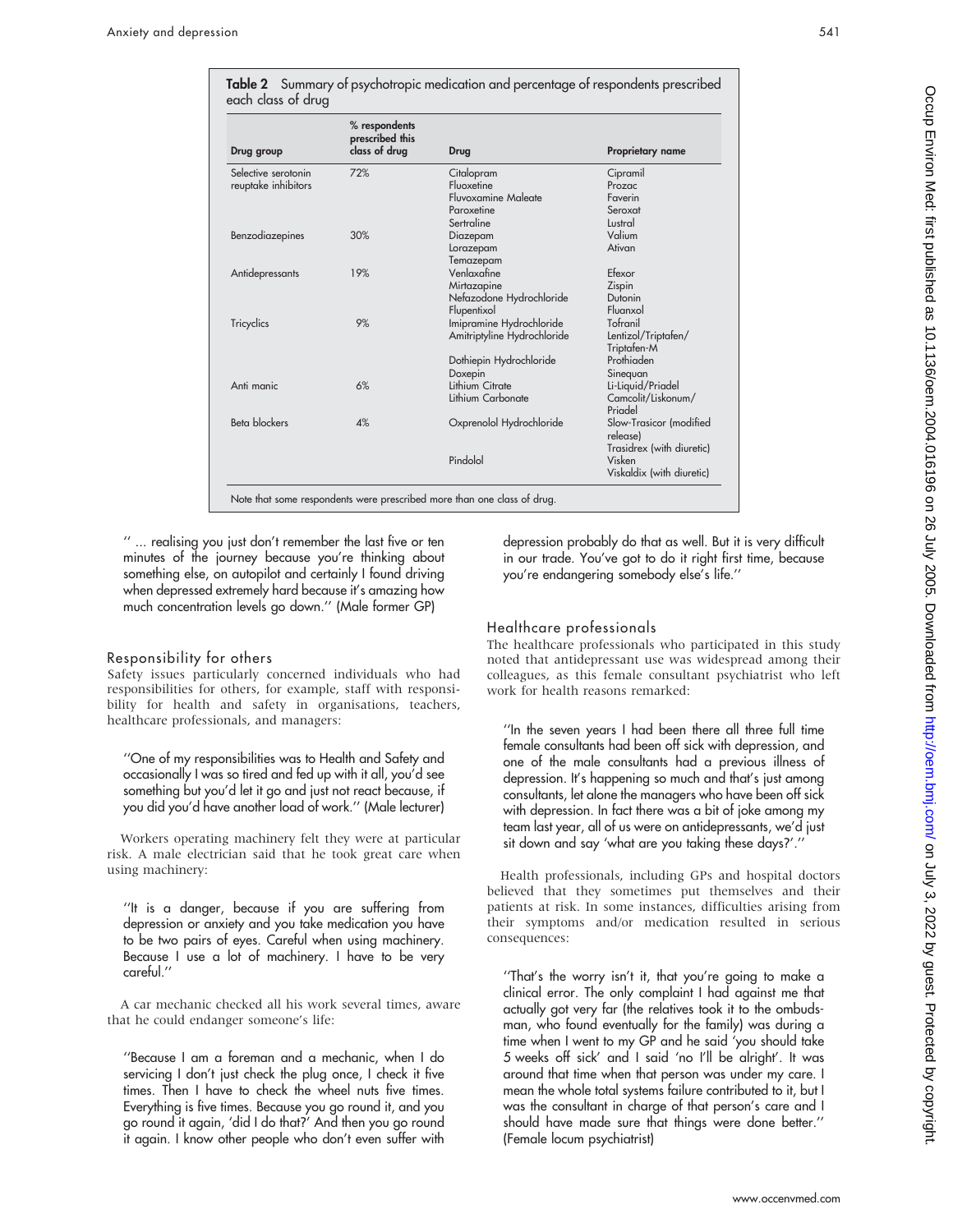| Drug group          | % respondents<br>prescribed this<br>class of drug | Drug                        | Proprietary name          |
|---------------------|---------------------------------------------------|-----------------------------|---------------------------|
| Selective serotonin | 72%                                               | Citalopram                  | Cipramil                  |
| reuptake inhibitors |                                                   | Fluoxetine                  | Prozac                    |
|                     |                                                   | Fluvoxamine Maleate         | Faverin                   |
|                     |                                                   | Paroxetine                  | Seroxat                   |
|                     |                                                   | Sertraline                  | Lustral                   |
| Benzodiazepines     | 30%                                               | Diazepam                    | Valium                    |
|                     |                                                   | Lorazepam                   | Ativan                    |
|                     |                                                   | Temazepam                   |                           |
| Antidepressants     | 19%                                               | Venlaxafine                 | Efexor                    |
|                     |                                                   | Mirtazapine                 | Zispin                    |
|                     |                                                   | Nefazodone Hydrochloride    | Dutonin                   |
|                     |                                                   | Flupentixol                 | Fluanxol                  |
| Tricyclics          | 9%                                                | Imipramine Hydrochloride    | Tofranil                  |
|                     |                                                   | Amitriptyline Hydrochloride | Lentizol/Triptafen/       |
|                     |                                                   |                             | Triptafen-M               |
|                     |                                                   | Dothiepin Hydrochloride     | Prothiaden                |
|                     |                                                   | Doxepin                     | Sinequan                  |
| Anti manic          | 6%                                                | Lithium Citrate             | Li-Liquid/Priadel         |
|                     |                                                   | Lithium Carbonate           | Camcolit/Liskonum/        |
|                     |                                                   |                             | Priadel                   |
| Beta blockers       | 4%                                                | Oxprenolol Hydrochloride    | Slow-Trasicor (modified   |
|                     |                                                   |                             | release)                  |
|                     |                                                   |                             | Trasidrex (with diuretic) |
|                     |                                                   | Pindolol                    | Visken                    |
|                     |                                                   |                             | Viskaldix (with diuretic) |

'' ... realising you just don't remember the last five or ten minutes of the journey because you're thinking about something else, on autopilot and certainly I found driving when depressed extremely hard because it's amazing how much concentration levels go down.'' (Male former GP)

# Responsibility for others

Safety issues particularly concerned individuals who had responsibilities for others, for example, staff with responsibility for health and safety in organisations, teachers, healthcare professionals, and managers:

''One of my responsibilities was to Health and Safety and occasionally I was so tired and fed up with it all, you'd see something but you'd let it go and just not react because, if you did you'd have another load of work.'' (Male lecturer)

Workers operating machinery felt they were at particular risk. A male electrician said that he took great care when using machinery:

''It is a danger, because if you are suffering from depression or anxiety and you take medication you have to be two pairs of eyes. Careful when using machinery. Because I use a lot of machinery. I have to be very careful.''

A car mechanic checked all his work several times, aware that he could endanger someone's life:

''Because I am a foreman and a mechanic, when I do servicing I don't just check the plug once, I check it five times. Then I have to check the wheel nuts five times. Everything is five times. Because you go round it, and you go round it again, 'did I do that?' And then you go round it again. I know other people who don't even suffer with

depression probably do that as well. But it is very difficult in our trade. You've got to do it right first time, because you're endangering somebody else's life.''

# Healthcare professionals

The healthcare professionals who participated in this study noted that antidepressant use was widespread among their colleagues, as this female consultant psychiatrist who left work for health reasons remarked:

''In the seven years I had been there all three full time female consultants had been off sick with depression, and one of the male consultants had a previous illness of depression. It's happening so much and that's just among consultants, let alone the managers who have been off sick with depression. In fact there was a bit of joke among my team last year, all of us were on antidepressants, we'd just sit down and say 'what are you taking these days?'.''

Health professionals, including GPs and hospital doctors believed that they sometimes put themselves and their patients at risk. In some instances, difficulties arising from their symptoms and/or medication resulted in serious consequences:

''That's the worry isn't it, that you're going to make a clinical error. The only complaint I had against me that actually got very far (the relatives took it to the ombudsman, who found eventually for the family) was during a time when I went to my GP and he said 'you should take 5 weeks off sick' and I said 'no I'll be alright'. It was around that time when that person was under my care. I mean the whole total systems failure contributed to it, but I was the consultant in charge of that person's care and I should have made sure that things were done better.'' (Female locum psychiatrist)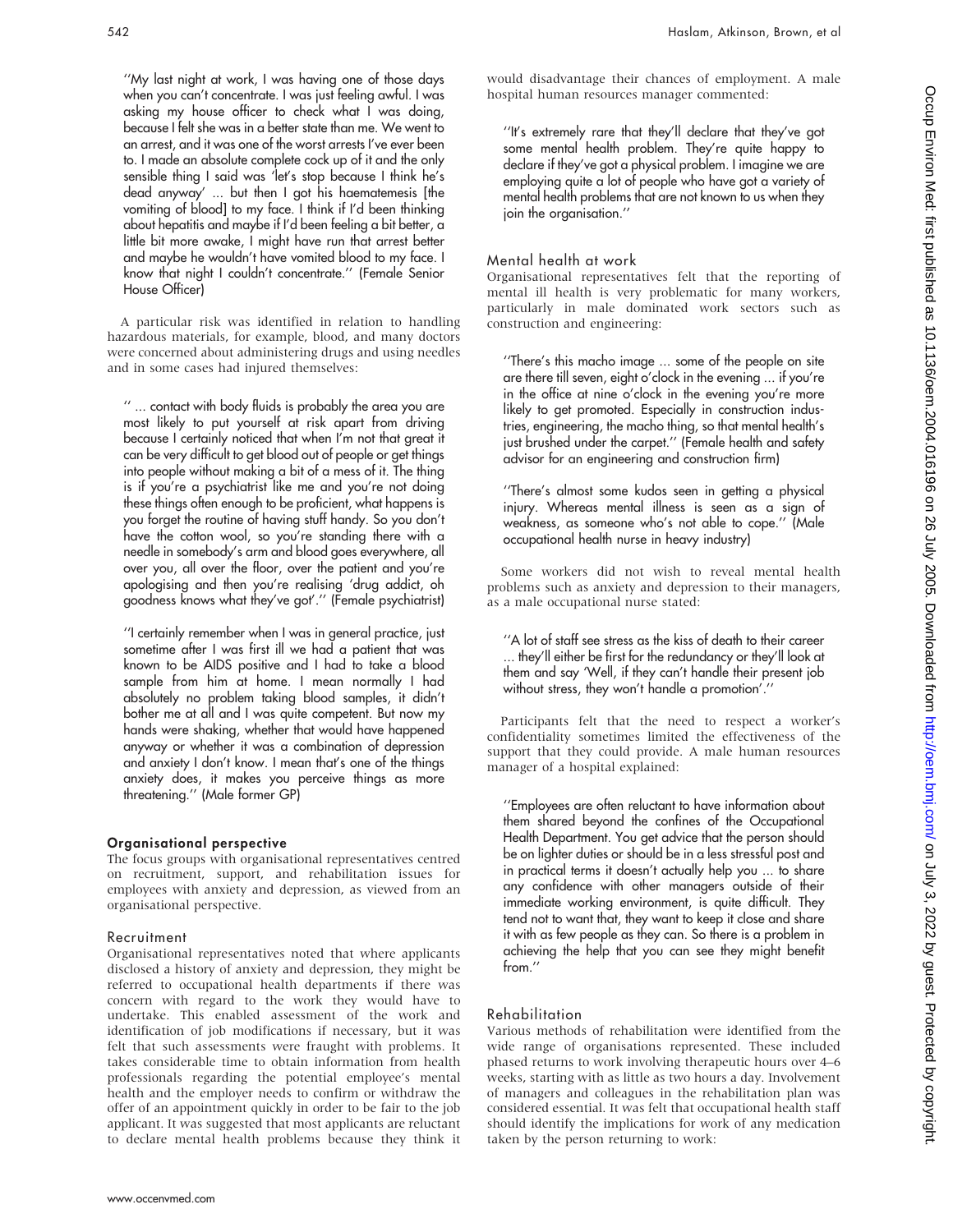''My last night at work, I was having one of those days when you can't concentrate. I was just feeling awful. I was asking my house officer to check what I was doing, because I felt she was in a better state than me. We went to an arrest, and it was one of the worst arrests I've ever been to. I made an absolute complete cock up of it and the only sensible thing I said was 'let's stop because I think he's dead anyway' ... but then I got his haematemesis [the vomiting of blood] to my face. I think if I'd been thinking about hepatitis and maybe if I'd been feeling a bit better, a little bit more awake, I might have run that arrest better and maybe he wouldn't have vomited blood to my face. I know that night I couldn't concentrate.'' (Female Senior House Officer)

A particular risk was identified in relation to handling hazardous materials, for example, blood, and many doctors were concerned about administering drugs and using needles and in some cases had injured themselves:

'' ... contact with body fluids is probably the area you are most likely to put yourself at risk apart from driving because I certainly noticed that when I'm not that great it can be very difficult to get blood out of people or get things into people without making a bit of a mess of it. The thing is if you're a psychiatrist like me and you're not doing these things often enough to be proficient, what happens is you forget the routine of having stuff handy. So you don't have the cotton wool, so you're standing there with a needle in somebody's arm and blood goes everywhere, all over you, all over the floor, over the patient and you're apologising and then you're realising 'drug addict, oh goodness knows what they've got'.'' (Female psychiatrist)

''I certainly remember when I was in general practice, just sometime after I was first ill we had a patient that was known to be AIDS positive and I had to take a blood sample from him at home. I mean normally I had absolutely no problem taking blood samples, it didn't bother me at all and I was quite competent. But now my hands were shaking, whether that would have happened anyway or whether it was a combination of depression and anxiety I don't know. I mean that's one of the things anxiety does, it makes you perceive things as more threatening.'' (Male former GP)

# Organisational perspective

The focus groups with organisational representatives centred on recruitment, support, and rehabilitation issues for employees with anxiety and depression, as viewed from an organisational perspective.

#### Recruitment

Organisational representatives noted that where applicants disclosed a history of anxiety and depression, they might be referred to occupational health departments if there was concern with regard to the work they would have to undertake. This enabled assessment of the work and identification of job modifications if necessary, but it was felt that such assessments were fraught with problems. It takes considerable time to obtain information from health professionals regarding the potential employee's mental health and the employer needs to confirm or withdraw the offer of an appointment quickly in order to be fair to the job applicant. It was suggested that most applicants are reluctant to declare mental health problems because they think it would disadvantage their chances of employment. A male hospital human resources manager commented:

''It's extremely rare that they'll declare that they've got some mental health problem. They're quite happy to declare if they've got a physical problem. I imagine we are employing quite a lot of people who have got a variety of mental health problems that are not known to us when they join the organisation.''

#### Mental health at work

Organisational representatives felt that the reporting of mental ill health is very problematic for many workers, particularly in male dominated work sectors such as construction and engineering:

''There's this macho image ... some of the people on site are there till seven, eight o'clock in the evening ... if you're in the office at nine o'clock in the evening you're more likely to get promoted. Especially in construction industries, engineering, the macho thing, so that mental health's just brushed under the carpet.'' (Female health and safety advisor for an engineering and construction firm)

''There's almost some kudos seen in getting a physical injury. Whereas mental illness is seen as a sign of weakness, as someone who's not able to cope.'' (Male occupational health nurse in heavy industry)

Some workers did not wish to reveal mental health problems such as anxiety and depression to their managers, as a male occupational nurse stated:

''A lot of staff see stress as the kiss of death to their career ... they'll either be first for the redundancy or they'll look at them and say 'Well, if they can't handle their present job without stress, they won't handle a promotion'.''

Participants felt that the need to respect a worker's confidentiality sometimes limited the effectiveness of the support that they could provide. A male human resources manager of a hospital explained:

''Employees are often reluctant to have information about them shared beyond the confines of the Occupational Health Department. You get advice that the person should be on lighter duties or should be in a less stressful post and in practical terms it doesn't actually help you ... to share any confidence with other managers outside of their immediate working environment, is quite difficult. They tend not to want that, they want to keep it close and share it with as few people as they can. So there is a problem in achieving the help that you can see they might benefit from.''

#### Rehabilitation

Various methods of rehabilitation were identified from the wide range of organisations represented. These included phased returns to work involving therapeutic hours over 4–6 weeks, starting with as little as two hours a day. Involvement of managers and colleagues in the rehabilitation plan was considered essential. It was felt that occupational health staff should identify the implications for work of any medication taken by the person returning to work: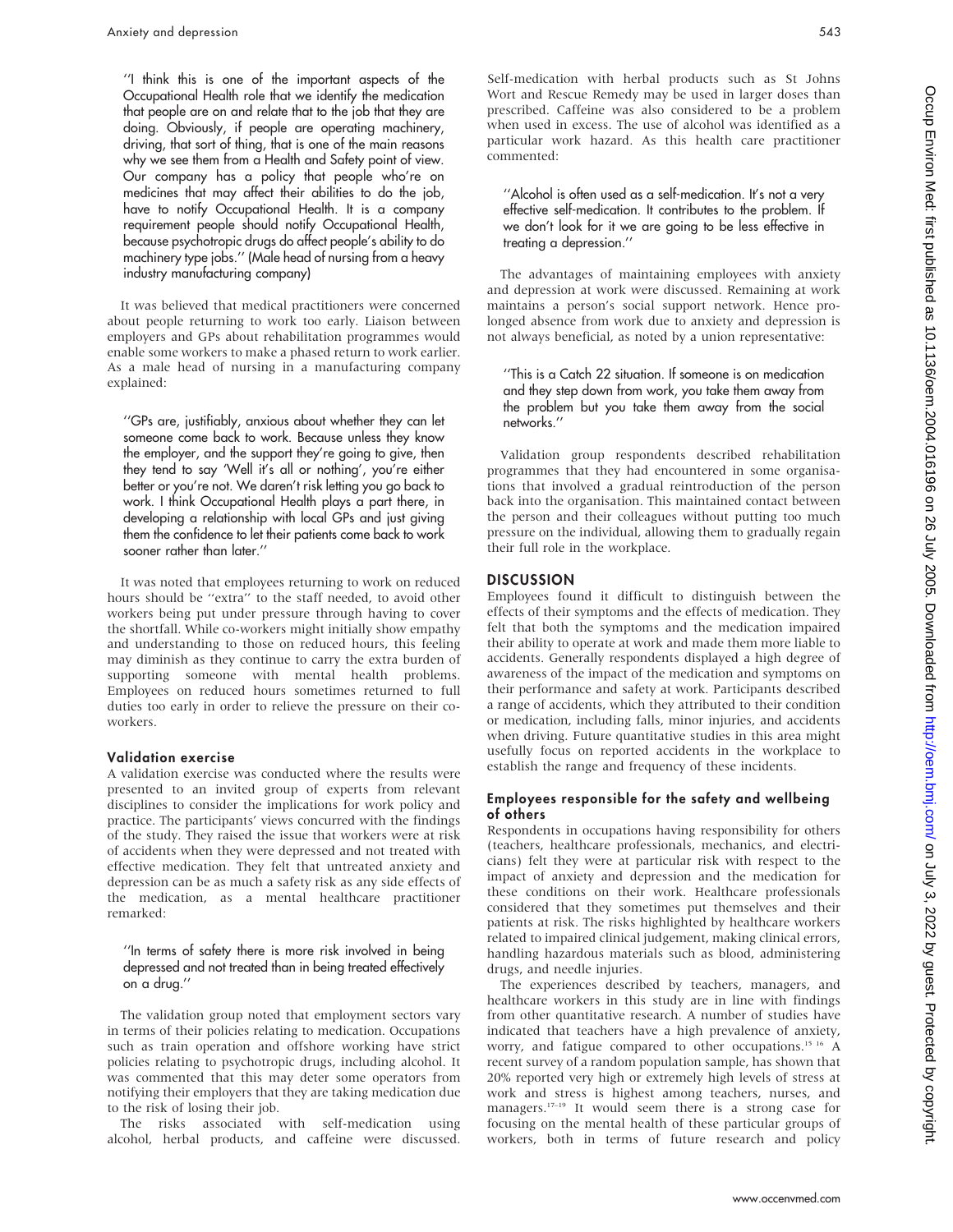''I think this is one of the important aspects of the Occupational Health role that we identify the medication that people are on and relate that to the job that they are doing. Obviously, if people are operating machinery, driving, that sort of thing, that is one of the main reasons why we see them from a Health and Safety point of view. Our company has a policy that people who're on medicines that may affect their abilities to do the job, have to notify Occupational Health. It is a company requirement people should notify Occupational Health, because psychotropic drugs do affect people's ability to do machinery type jobs.'' (Male head of nursing from a heavy industry manufacturing company)

It was believed that medical practitioners were concerned about people returning to work too early. Liaison between employers and GPs about rehabilitation programmes would enable some workers to make a phased return to work earlier. As a male head of nursing in a manufacturing company explained:

''GPs are, justifiably, anxious about whether they can let someone come back to work. Because unless they know the employer, and the support they're going to give, then they tend to say 'Well it's all or nothing', you're either better or you're not. We daren't risk letting you go back to work. I think Occupational Health plays a part there, in developing a relationship with local GPs and just giving them the confidence to let their patients come back to work sooner rather than later.''

It was noted that employees returning to work on reduced hours should be ''extra'' to the staff needed, to avoid other workers being put under pressure through having to cover the shortfall. While co-workers might initially show empathy and understanding to those on reduced hours, this feeling may diminish as they continue to carry the extra burden of supporting someone with mental health problems. Employees on reduced hours sometimes returned to full duties too early in order to relieve the pressure on their coworkers.

#### Validation exercise

A validation exercise was conducted where the results were presented to an invited group of experts from relevant disciplines to consider the implications for work policy and practice. The participants' views concurred with the findings of the study. They raised the issue that workers were at risk of accidents when they were depressed and not treated with effective medication. They felt that untreated anxiety and depression can be as much a safety risk as any side effects of the medication, as a mental healthcare practitioner remarked:

''In terms of safety there is more risk involved in being depressed and not treated than in being treated effectively on a drug.''

The validation group noted that employment sectors vary in terms of their policies relating to medication. Occupations such as train operation and offshore working have strict policies relating to psychotropic drugs, including alcohol. It was commented that this may deter some operators from notifying their employers that they are taking medication due to the risk of losing their job.

The risks associated with self-medication using alcohol, herbal products, and caffeine were discussed. Self-medication with herbal products such as St Johns Wort and Rescue Remedy may be used in larger doses than prescribed. Caffeine was also considered to be a problem when used in excess. The use of alcohol was identified as a particular work hazard. As this health care practitioner commented:

''Alcohol is often used as a self-medication. It's not a very effective self-medication. It contributes to the problem. If we don't look for it we are going to be less effective in treating a depression.''

The advantages of maintaining employees with anxiety and depression at work were discussed. Remaining at work maintains a person's social support network. Hence prolonged absence from work due to anxiety and depression is not always beneficial, as noted by a union representative:

''This is a Catch 22 situation. If someone is on medication and they step down from work, you take them away from the problem but you take them away from the social networks.''

Validation group respondents described rehabilitation programmes that they had encountered in some organisations that involved a gradual reintroduction of the person back into the organisation. This maintained contact between the person and their colleagues without putting too much pressure on the individual, allowing them to gradually regain their full role in the workplace.

#### **DISCUSSION**

Employees found it difficult to distinguish between the effects of their symptoms and the effects of medication. They felt that both the symptoms and the medication impaired their ability to operate at work and made them more liable to accidents. Generally respondents displayed a high degree of awareness of the impact of the medication and symptoms on their performance and safety at work. Participants described a range of accidents, which they attributed to their condition or medication, including falls, minor injuries, and accidents when driving. Future quantitative studies in this area might usefully focus on reported accidents in the workplace to establish the range and frequency of these incidents.

#### Employees responsible for the safety and wellbeing of others

Respondents in occupations having responsibility for others (teachers, healthcare professionals, mechanics, and electricians) felt they were at particular risk with respect to the impact of anxiety and depression and the medication for these conditions on their work. Healthcare professionals considered that they sometimes put themselves and their patients at risk. The risks highlighted by healthcare workers related to impaired clinical judgement, making clinical errors, handling hazardous materials such as blood, administering drugs, and needle injuries.

The experiences described by teachers, managers, and healthcare workers in this study are in line with findings from other quantitative research. A number of studies have indicated that teachers have a high prevalence of anxiety, worry, and fatigue compared to other occupations.15 16 A recent survey of a random population sample, has shown that 20% reported very high or extremely high levels of stress at work and stress is highest among teachers, nurses, and managers.<sup>17–19</sup> It would seem there is a strong case for focusing on the mental health of these particular groups of workers, both in terms of future research and policy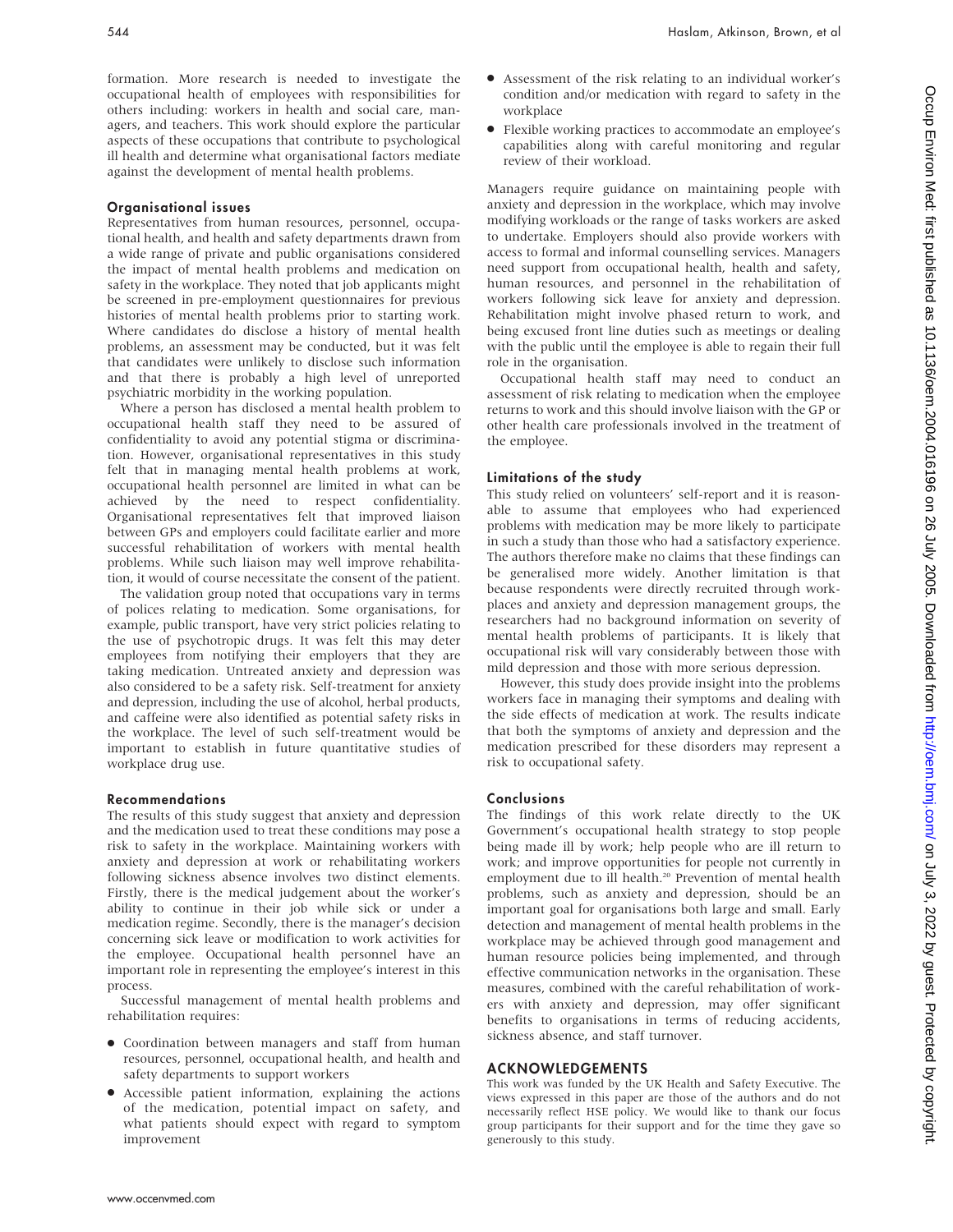formation. More research is needed to investigate the occupational health of employees with responsibilities for others including: workers in health and social care, managers, and teachers. This work should explore the particular aspects of these occupations that contribute to psychological ill health and determine what organisational factors mediate against the development of mental health problems.

#### Organisational issues

Representatives from human resources, personnel, occupational health, and health and safety departments drawn from a wide range of private and public organisations considered the impact of mental health problems and medication on safety in the workplace. They noted that job applicants might be screened in pre-employment questionnaires for previous histories of mental health problems prior to starting work. Where candidates do disclose a history of mental health problems, an assessment may be conducted, but it was felt that candidates were unlikely to disclose such information and that there is probably a high level of unreported psychiatric morbidity in the working population.

Where a person has disclosed a mental health problem to occupational health staff they need to be assured of confidentiality to avoid any potential stigma or discrimination. However, organisational representatives in this study felt that in managing mental health problems at work, occupational health personnel are limited in what can be achieved by the need to respect confidentiality. Organisational representatives felt that improved liaison between GPs and employers could facilitate earlier and more successful rehabilitation of workers with mental health problems. While such liaison may well improve rehabilitation, it would of course necessitate the consent of the patient.

The validation group noted that occupations vary in terms of polices relating to medication. Some organisations, for example, public transport, have very strict policies relating to the use of psychotropic drugs. It was felt this may deter employees from notifying their employers that they are taking medication. Untreated anxiety and depression was also considered to be a safety risk. Self-treatment for anxiety and depression, including the use of alcohol, herbal products, and caffeine were also identified as potential safety risks in the workplace. The level of such self-treatment would be important to establish in future quantitative studies of workplace drug use.

#### Recommendations

The results of this study suggest that anxiety and depression and the medication used to treat these conditions may pose a risk to safety in the workplace. Maintaining workers with anxiety and depression at work or rehabilitating workers following sickness absence involves two distinct elements. Firstly, there is the medical judgement about the worker's ability to continue in their job while sick or under a medication regime. Secondly, there is the manager's decision concerning sick leave or modification to work activities for the employee. Occupational health personnel have an important role in representing the employee's interest in this process.

Successful management of mental health problems and rehabilitation requires:

- N Coordination between managers and staff from human resources, personnel, occupational health, and health and safety departments to support workers
- N Accessible patient information, explaining the actions of the medication, potential impact on safety, and what patients should expect with regard to symptom improvement
- Assessment of the risk relating to an individual worker's condition and/or medication with regard to safety in the workplace
- N Flexible working practices to accommodate an employee's capabilities along with careful monitoring and regular review of their workload.

Managers require guidance on maintaining people with anxiety and depression in the workplace, which may involve modifying workloads or the range of tasks workers are asked to undertake. Employers should also provide workers with access to formal and informal counselling services. Managers need support from occupational health, health and safety, human resources, and personnel in the rehabilitation of workers following sick leave for anxiety and depression. Rehabilitation might involve phased return to work, and being excused front line duties such as meetings or dealing with the public until the employee is able to regain their full role in the organisation.

Occupational health staff may need to conduct an assessment of risk relating to medication when the employee returns to work and this should involve liaison with the GP or other health care professionals involved in the treatment of the employee.

# Limitations of the study

This study relied on volunteers' self-report and it is reasonable to assume that employees who had experienced problems with medication may be more likely to participate in such a study than those who had a satisfactory experience. The authors therefore make no claims that these findings can be generalised more widely. Another limitation is that because respondents were directly recruited through workplaces and anxiety and depression management groups, the researchers had no background information on severity of mental health problems of participants. It is likely that occupational risk will vary considerably between those with mild depression and those with more serious depression.

However, this study does provide insight into the problems workers face in managing their symptoms and dealing with the side effects of medication at work. The results indicate that both the symptoms of anxiety and depression and the medication prescribed for these disorders may represent a risk to occupational safety.

# Conclusions

The findings of this work relate directly to the UK Government's occupational health strategy to stop people being made ill by work; help people who are ill return to work; and improve opportunities for people not currently in employment due to ill health.<sup>20</sup> Prevention of mental health problems, such as anxiety and depression, should be an important goal for organisations both large and small. Early detection and management of mental health problems in the workplace may be achieved through good management and human resource policies being implemented, and through effective communication networks in the organisation. These measures, combined with the careful rehabilitation of workers with anxiety and depression, may offer significant benefits to organisations in terms of reducing accidents, sickness absence, and staff turnover.

# ACKNOWLEDGEMENTS

This work was funded by the UK Health and Safety Executive. The views expressed in this paper are those of the authors and do not necessarily reflect HSE policy. We would like to thank our focus group participants for their support and for the time they gave so generously to this study.